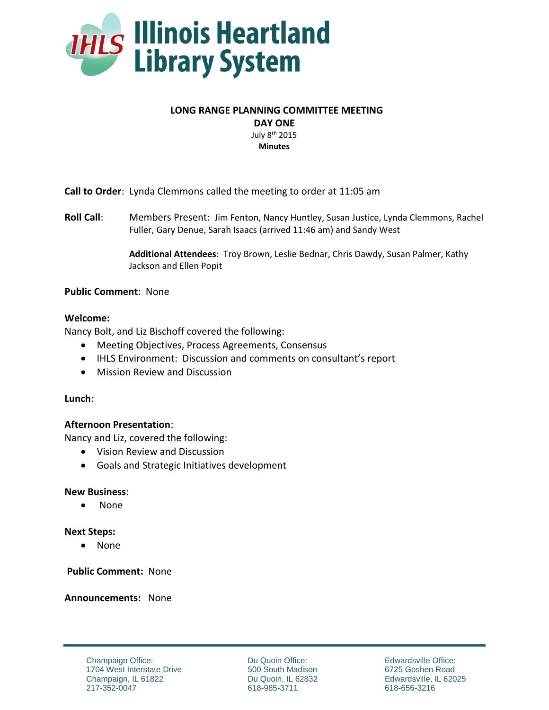

## **LONG RANGE PLANNING COMMITTEE MEETING**

**DAY ONE**

July 8th 2015 **Minutes**

**Call to Order**: Lynda Clemmons called the meeting to order at 11:05 am

**Roll Call**: Members Present: Jim Fenton, Nancy Huntley, Susan Justice, Lynda Clemmons, Rachel Fuller, Gary Denue, Sarah Isaacs (arrived 11:46 am) and Sandy West

> **Additional Attendees**: Troy Brown, Leslie Bednar, Chris Dawdy, Susan Palmer, Kathy Jackson and Ellen Popit

## **Public Comment**: None

## **Welcome:**

Nancy Bolt, and Liz Bischoff covered the following:

- Meeting Objectives, Process Agreements, Consensus
- IHLS Environment: Discussion and comments on consultant's report
- Mission Review and Discussion

## **Lunch**:

## **Afternoon Presentation**:

Nancy and Liz, covered the following:

- Vision Review and Discussion
- Goals and Strategic Initiatives development

## **New Business**:

• None

## **Next Steps:**

• None

**Public Comment:** None

**Announcements:** None

Champaign Office: 1704 West Interstate Drive Champaign, IL 61822 217-352-0047

Du Quoin Office: 500 South Madison Du Quoin, IL 62832 618-985-3711

Edwardsville Office: 6725 Goshen Road Edwardsville, IL 62025 618-656-3216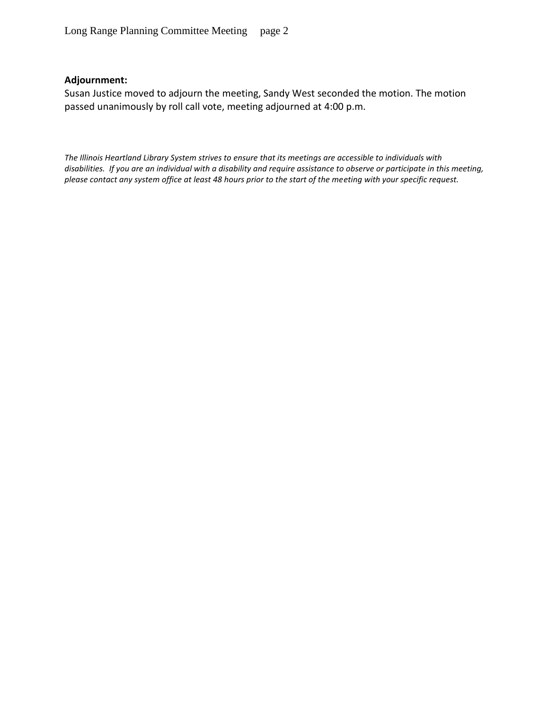# **Adjournment:**

Susan Justice moved to adjourn the meeting, Sandy West seconded the motion. The motion passed unanimously by roll call vote, meeting adjourned at 4:00 p.m.

*The Illinois Heartland Library System strives to ensure that its meetings are accessible to individuals with disabilities. If you are an individual with a disability and require assistance to observe or participate in this meeting, please contact any system office at least 48 hours prior to the start of the meeting with your specific request.*